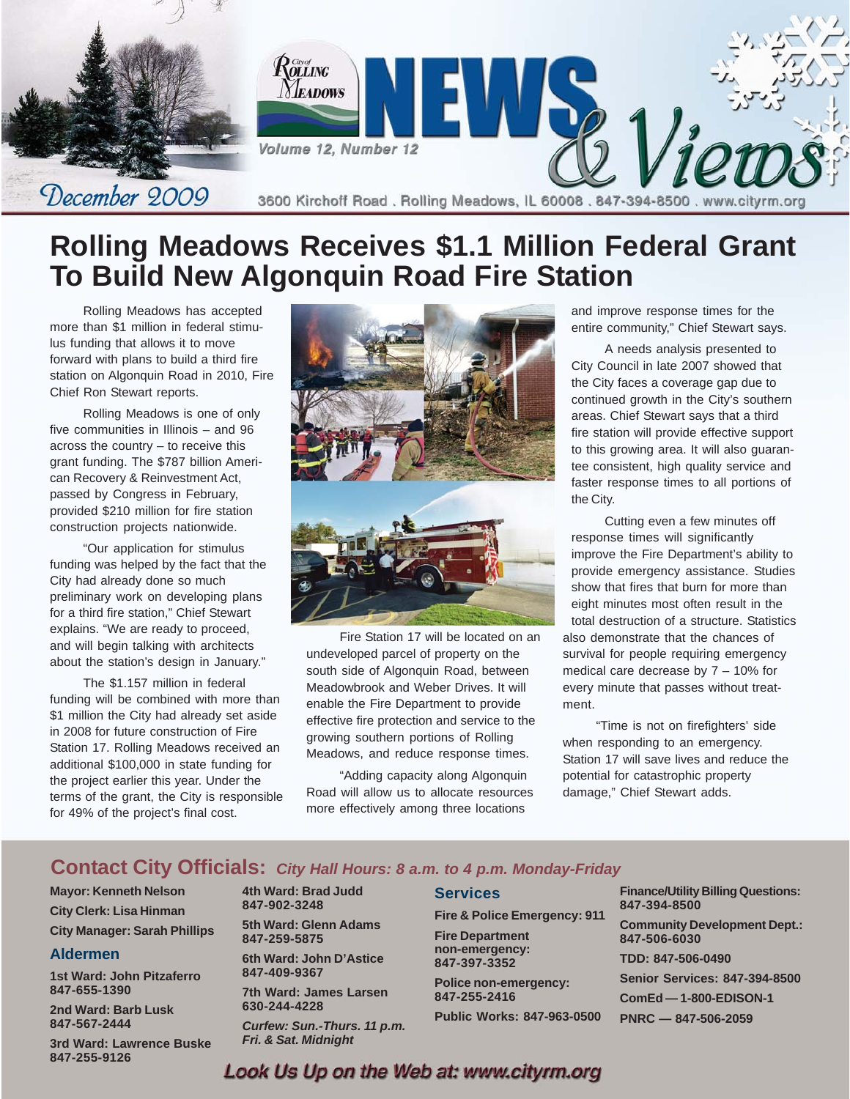

# **Rolling Meadows Receives \$1.1 Million Federal Grant To Build New Algonquin Road Fire Station**

Rolling Meadows has accepted more than \$1 million in federal stimulus funding that allows it to move forward with plans to build a third fire station on Algonquin Road in 2010, Fire Chief Ron Stewart reports.

Rolling Meadows is one of only five communities in Illinois – and 96 across the country – to receive this grant funding. The \$787 billion American Recovery & Reinvestment Act, passed by Congress in February, provided \$210 million for fire station construction projects nationwide.

"Our application for stimulus funding was helped by the fact that the City had already done so much preliminary work on developing plans for a third fire station," Chief Stewart explains. "We are ready to proceed, and will begin talking with architects about the station's design in January."

The \$1.157 million in federal funding will be combined with more than \$1 million the City had already set aside in 2008 for future construction of Fire Station 17. Rolling Meadows received an additional \$100,000 in state funding for the project earlier this year. Under the terms of the grant, the City is responsible for 49% of the project's final cost.



Fire Station 17 will be located on an undeveloped parcel of property on the south side of Algonquin Road, between Meadowbrook and Weber Drives. It will enable the Fire Department to provide effective fire protection and service to the growing southern portions of Rolling Meadows, and reduce response times.

"Adding capacity along Algonquin Road will allow us to allocate resources more effectively among three locations

and improve response times for the entire community," Chief Stewart says.

A needs analysis presented to City Council in late 2007 showed that the City faces a coverage gap due to continued growth in the City's southern areas. Chief Stewart says that a third fire station will provide effective support to this growing area. It will also guarantee consistent, high quality service and faster response times to all portions of the City.

Cutting even a few minutes off response times will significantly improve the Fire Department's ability to provide emergency assistance. Studies show that fires that burn for more than eight minutes most often result in the total destruction of a structure. Statistics also demonstrate that the chances of survival for people requiring emergency medical care decrease by 7 – 10% for every minute that passes without treatment.

"Time is not on firefighters' side when responding to an emergency. Station 17 will save lives and reduce the potential for catastrophic property damage," Chief Stewart adds.

#### Contact City Officials: City Hall Hours: 8 a.m. to 4 p.m. Monday-Friday

**Mayor: Kenneth Nelson City Clerk: Lisa Hinman City Manager: Sarah Phillips**

#### **Aldermen**

**1st Ward: John Pitzaferro 847-655-1390**

**2nd Ward: Barb Lusk 847-567-2444**

**3rd Ward: Lawrence Buske 847-255-9126**

**4th Ward: Brad Judd 847-902-3248 5th Ward: Glenn Adams**

**847-259-5875 6th Ward: John D'Astice**

**847-409-9367 7th Ward: James Larsen**

**630-244-4228**

*Curfew: Sun.-Thurs. 11 p.m. Fri. & Sat. Midnight*

#### **Services**

**Fire & Police Emergency: 911 Fire Department non-emergency:**

**847-397-3352 Police non-emergency: 847-255-2416**

**Public Works: 847-963-0500**

**Finance/Utility Billing Questions: 847-394-8500**

**Community Development Dept.: 847-506-6030**

**TDD: 847-506-0490**

**Senior Services: 847-394-8500**

**ComEd — 1-800-EDISON-1**

**PNRC — 847-506-2059**

Look Us Up on the Web at: www.cityrm.org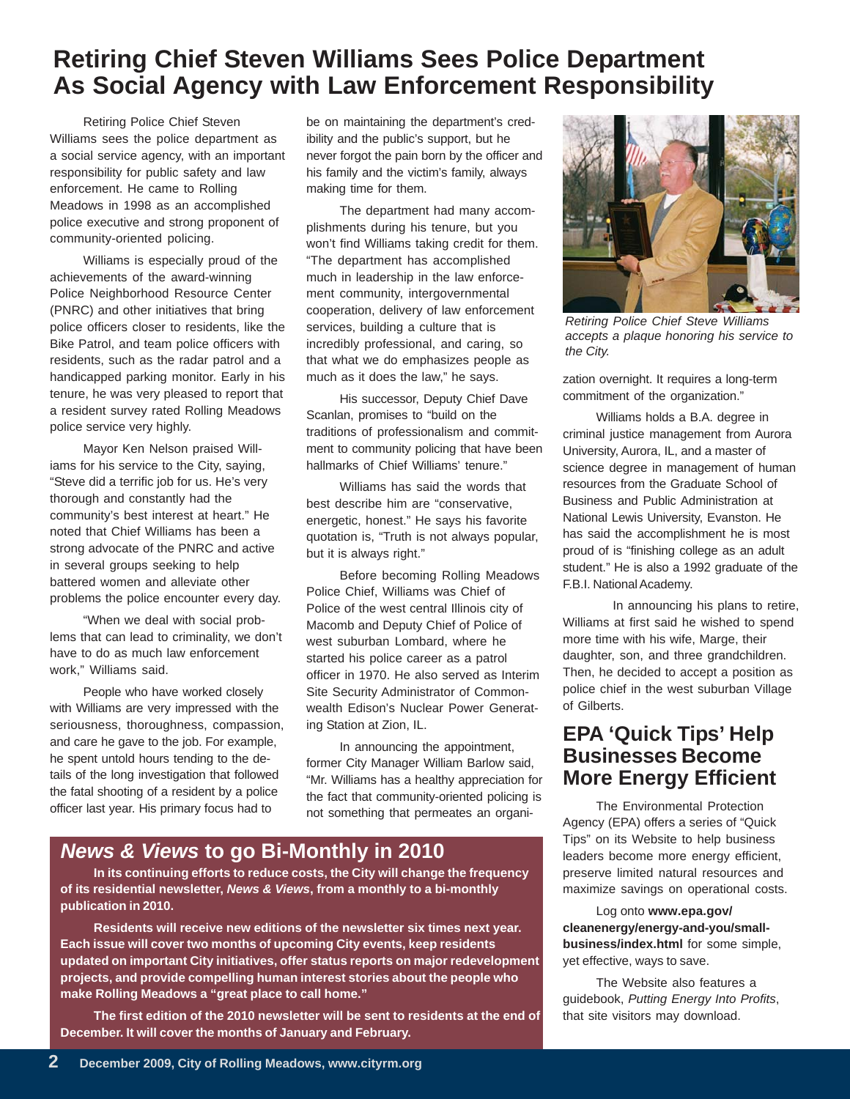# **Retiring Chief Steven Williams Sees Police Department As Social Agency with Law Enforcement Responsibility**

Retiring Police Chief Steven Williams sees the police department as a social service agency, with an important responsibility for public safety and law enforcement. He came to Rolling Meadows in 1998 as an accomplished police executive and strong proponent of community-oriented policing.

Williams is especially proud of the achievements of the award-winning Police Neighborhood Resource Center (PNRC) and other initiatives that bring police officers closer to residents, like the Bike Patrol, and team police officers with residents, such as the radar patrol and a handicapped parking monitor. Early in his tenure, he was very pleased to report that a resident survey rated Rolling Meadows police service very highly.

Mayor Ken Nelson praised Williams for his service to the City, saying, "Steve did a terrific job for us. He's very thorough and constantly had the community's best interest at heart." He noted that Chief Williams has been a strong advocate of the PNRC and active in several groups seeking to help battered women and alleviate other problems the police encounter every day.

"When we deal with social problems that can lead to criminality, we don't have to do as much law enforcement work," Williams said.

People who have worked closely with Williams are very impressed with the seriousness, thoroughness, compassion, and care he gave to the job. For example, he spent untold hours tending to the details of the long investigation that followed the fatal shooting of a resident by a police officer last year. His primary focus had to

be on maintaining the department's credibility and the public's support, but he never forgot the pain born by the officer and his family and the victim's family, always making time for them.

The department had many accomplishments during his tenure, but you won't find Williams taking credit for them. "The department has accomplished much in leadership in the law enforcement community, intergovernmental cooperation, delivery of law enforcement services, building a culture that is incredibly professional, and caring, so that what we do emphasizes people as much as it does the law," he says.

His successor, Deputy Chief Dave Scanlan, promises to "build on the traditions of professionalism and commitment to community policing that have been hallmarks of Chief Williams' tenure."

Williams has said the words that best describe him are "conservative, energetic, honest." He says his favorite quotation is, "Truth is not always popular, but it is always right."

Before becoming Rolling Meadows Police Chief, Williams was Chief of Police of the west central Illinois city of Macomb and Deputy Chief of Police of west suburban Lombard, where he started his police career as a patrol officer in 1970. He also served as Interim Site Security Administrator of Commonwealth Edison's Nuclear Power Generating Station at Zion, IL.

In announcing the appointment, former City Manager William Barlow said, "Mr. Williams has a healthy appreciation for the fact that community-oriented policing is not something that permeates an organi-



**In its continuing efforts to reduce costs, the City will change the frequency of its residential newsletter,** *News & Views***, from a monthly to a bi-monthly publication in 2010.**

**Residents will receive new editions of the newsletter six times next year. Each issue will cover two months of upcoming City events, keep residents updated on important City initiatives, offer status reports on major redevelopment projects, and provide compelling human interest stories about the people who make Rolling Meadows a "great place to call home."**

**The first edition of the 2010 newsletter will be sent to residents at the end of December. It will cover the months of January and February.**



*Retiring Police Chief Steve Williams accepts a plaque honoring his service to the City.*

zation overnight. It requires a long-term commitment of the organization."

Williams holds a B.A. degree in criminal justice management from Aurora University, Aurora, IL, and a master of science degree in management of human resources from the Graduate School of Business and Public Administration at National Lewis University, Evanston. He has said the accomplishment he is most proud of is "finishing college as an adult student." He is also a 1992 graduate of the F.B.I. National Academy.

In announcing his plans to retire, Williams at first said he wished to spend more time with his wife, Marge, their daughter, son, and three grandchildren. Then, he decided to accept a position as police chief in the west suburban Village of Gilberts.

### **EPA 'Quick Tips' Help Businesses Become More Energy Efficient**

The Environmental Protection Agency (EPA) offers a series of "Quick Tips" on its Website to help business leaders become more energy efficient, preserve limited natural resources and maximize savings on operational costs.

Log onto **www.epa.gov/ cleanenergy/energy-and-you/smallbusiness/index.html** for some simple, yet effective, ways to save.

The Website also features a guidebook, *Putting Energy Into Profits*, that site visitors may download.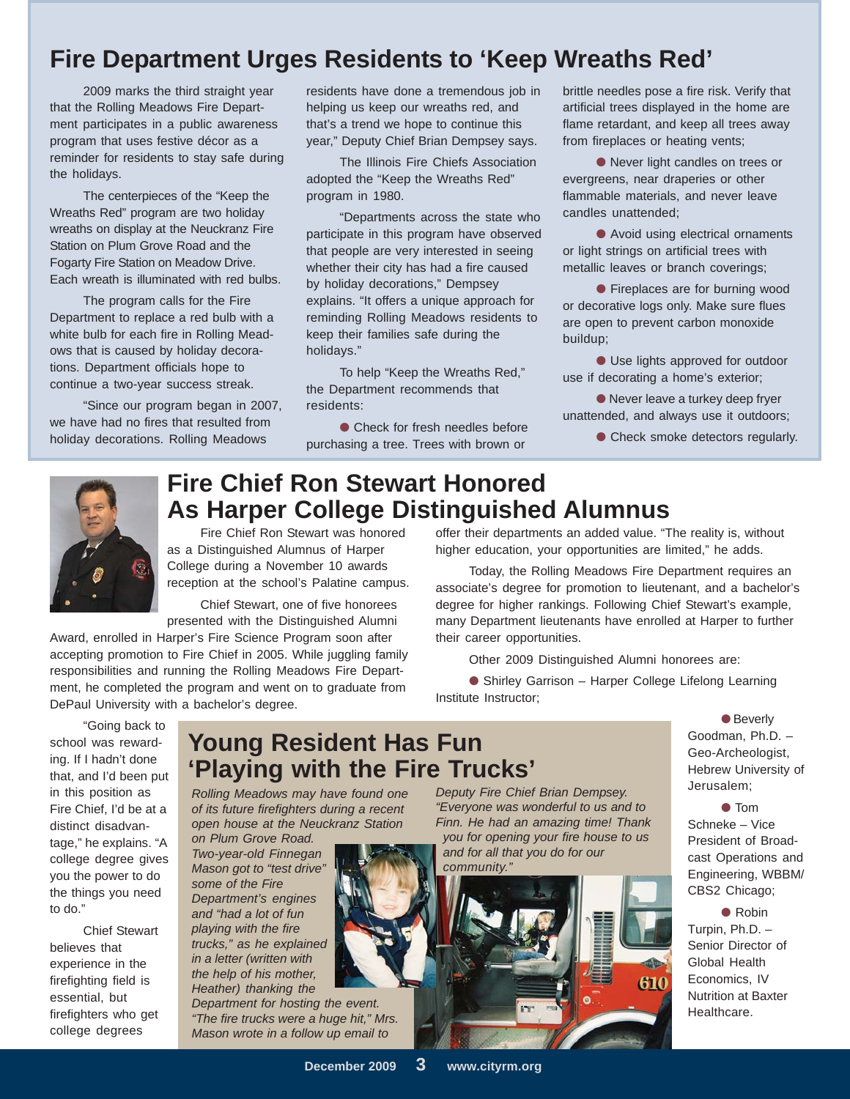# **Fire Department Urges Residents to 'Keep Wreaths Red'**

2009 marks the third straight year that the Rolling Meadows Fire Department participates in a public awareness program that uses festive décor as a reminder for residents to stay safe during the holidays.

The centerpieces of the "Keep the Wreaths Red" program are two holiday wreaths on display at the Neuckranz Fire Station on Plum Grove Road and the Fogarty Fire Station on Meadow Drive. Each wreath is illuminated with red bulbs.

The program calls for the Fire Department to replace a red bulb with a white bulb for each fire in Rolling Meadows that is caused by holiday decorations. Department officials hope to continue a two-year success streak.

"Since our program began in 2007, we have had no fires that resulted from holiday decorations. Rolling Meadows

residents have done a tremendous job in helping us keep our wreaths red, and that's a trend we hope to continue this year," Deputy Chief Brian Dempsey says.

The Illinois Fire Chiefs Association adopted the "Keep the Wreaths Red" program in 1980.

"Departments across the state who participate in this program have observed that people are very interested in seeing whether their city has had a fire caused by holiday decorations," Dempsey explains. "It offers a unique approach for reminding Rolling Meadows residents to keep their families safe during the holidays."

To help "Keep the Wreaths Red," the Department recommends that residents:

● Check for fresh needles before purchasing a tree. Trees with brown or

brittle needles pose a fire risk. Verify that artificial trees displayed in the home are flame retardant, and keep all trees away from fireplaces or heating vents;

● Never light candles on trees or evergreens, near draperies or other flammable materials, and never leave candles unattended;

● Avoid using electrical ornaments or light strings on artificial trees with metallic leaves or branch coverings;

● Fireplaces are for burning wood or decorative logs only. Make sure flues are open to prevent carbon monoxide buildup;

● Use lights approved for outdoor use if decorating a home's exterior;

● Never leave a turkey deep fryer unattended, and always use it outdoors;

● Check smoke detectors regularly.



# **Fire Chief Ron Stewart Honored As Harper College Distinguished Alumnus**

Fire Chief Ron Stewart was honored as a Distinguished Alumnus of Harper College during a November 10 awards reception at the school's Palatine campus.

Chief Stewart, one of five honorees presented with the Distinguished Alumni

Award, enrolled in Harper's Fire Science Program soon after accepting promotion to Fire Chief in 2005. While juggling family responsibilities and running the Rolling Meadows Fire Department, he completed the program and went on to graduate from DePaul University with a bachelor's degree.

"Going back to school was rewarding. If I hadn't done that, and I'd been put in this position as Fire Chief, I'd be at a distinct disadvantage," he explains. "A college degree gives you the power to do the things you need to do."

Chief Stewart believes that experience in the firefighting field is essential, but firefighters who get college degrees

# **Young Resident Has Fun 'Playing with the Fire Trucks'**

*Rolling Meadows may have found one of its future firefighters during a recent open house at the Neuckranz Station*

*on Plum Grove Road. Two-year-old Finnegan Mason got to "test drive" some of the Fire Department's engines and "had a lot of fun playing with the fire trucks," as he explained in a letter (written with the help of his mother, Heather) thanking the*

*Department for hosting the event. "The fire trucks were a huge hit," Mrs. Mason wrote in a follow up email to*

● Shirley Garrison – Harper College Lifelong Learning Institute Instructor;

Other 2009 Distinguished Alumni honorees are:

offer their departments an added value. "The reality is, without higher education, your opportunities are limited," he adds.

Today, the Rolling Meadows Fire Department requires an associate's degree for promotion to lieutenant, and a bachelor's degree for higher rankings. Following Chief Stewart's example, many Department lieutenants have enrolled at Harper to further

> ● Beverly Goodman, Ph.D. – Geo-Archeologist, Hebrew University of Jerusalem;

#### *Deputy Fire Chief Brian Dempsey. "Everyone was wonderful to us and to Finn. He had an amazing time! Thank you for opening your fire house to us and for all that you do for our*

their career opportunities.



● Tom Schneke – Vice President of Broadcast Operations and Engineering, WBBM/ CBS2 Chicago;

● Robin Turpin, Ph.D. – Senior Director of Global Health Economics, IV Nutrition at Baxter Healthcare.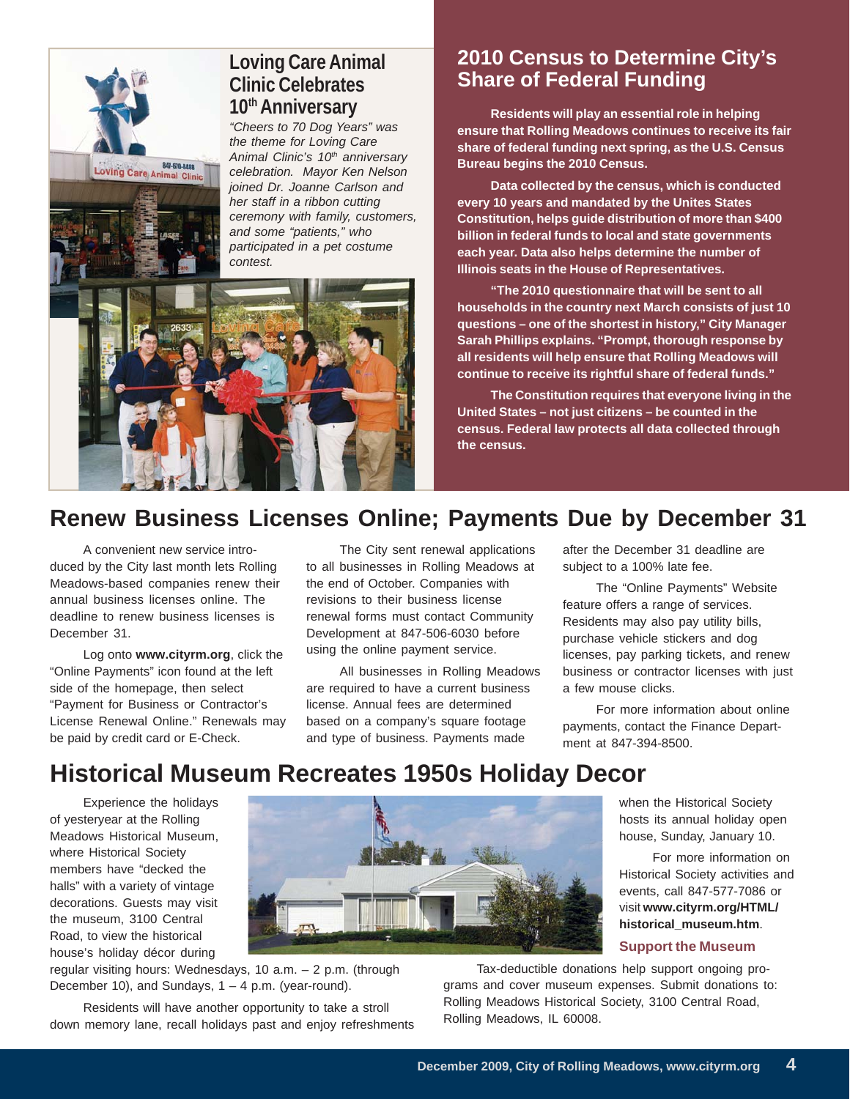# Loving Care Animal Clinic *contest.*

### **Loving Care Animal Clinic Celebrates 10th Anniversary**

*"Cheers to 70 Dog Years" was the theme for Loving Care* Animal Clinic's 10<sup>th</sup> anniversary *celebration. Mayor Ken Nelson joined Dr. Joanne Carlson and her staff in a ribbon cutting ceremony with family, customers, and some "patients," who participated in a pet costume*



## **2010 Census to Determine City's Share of Federal Funding**

**Residents will play an essential role in helping ensure that Rolling Meadows continues to receive its fair share of federal funding next spring, as the U.S. Census Bureau begins the 2010 Census.**

**Data collected by the census, which is conducted every 10 years and mandated by the Unites States Constitution, helps guide distribution of more than \$400 billion in federal funds to local and state governments each year. Data also helps determine the number of Illinois seats in the House of Representatives.**

**"The 2010 questionnaire that will be sent to all households in the country next March consists of just 10 questions – one of the shortest in history," City Manager Sarah Phillips explains. "Prompt, thorough response by all residents will help ensure that Rolling Meadows will continue to receive its rightful share of federal funds."**

**The Constitution requires that everyone living in the United States – not just citizens – be counted in the census. Federal law protects all data collected through the census.**

# **Renew Business Licenses Online; Payments Due by December 31**

A convenient new service introduced by the City last month lets Rolling Meadows-based companies renew their annual business licenses online. The deadline to renew business licenses is December 31.

Log onto **www.cityrm.org**, click the "Online Payments" icon found at the left side of the homepage, then select "Payment for Business or Contractor's License Renewal Online." Renewals may be paid by credit card or E-Check.

The City sent renewal applications to all businesses in Rolling Meadows at the end of October. Companies with revisions to their business license renewal forms must contact Community Development at 847-506-6030 before using the online payment service.

All businesses in Rolling Meadows are required to have a current business license. Annual fees are determined based on a company's square footage and type of business. Payments made

after the December 31 deadline are subject to a 100% late fee.

The "Online Payments" Website feature offers a range of services. Residents may also pay utility bills, purchase vehicle stickers and dog licenses, pay parking tickets, and renew business or contractor licenses with just a few mouse clicks.

For more information about online payments, contact the Finance Department at 847-394-8500.

# **Historical Museum Recreates 1950s Holiday Decor**

Experience the holidays of yesteryear at the Rolling Meadows Historical Museum, where Historical Society members have "decked the halls" with a variety of vintage decorations. Guests may visit the museum, 3100 Central Road, to view the historical house's holiday décor during



regular visiting hours: Wednesdays, 10 a.m. – 2 p.m. (through December 10), and Sundays,  $1 - 4$  p.m. (year-round).

Residents will have another opportunity to take a stroll down memory lane, recall holidays past and enjoy refreshments

when the Historical Society hosts its annual holiday open house, Sunday, January 10.

For more information on Historical Society activities and events, call 847-577-7086 or visit **www.cityrm.org/HTML/ historical\_museum.htm**.

#### **Support the Museum**

Tax-deductible donations help support ongoing programs and cover museum expenses. Submit donations to: Rolling Meadows Historical Society, 3100 Central Road, Rolling Meadows, IL 60008.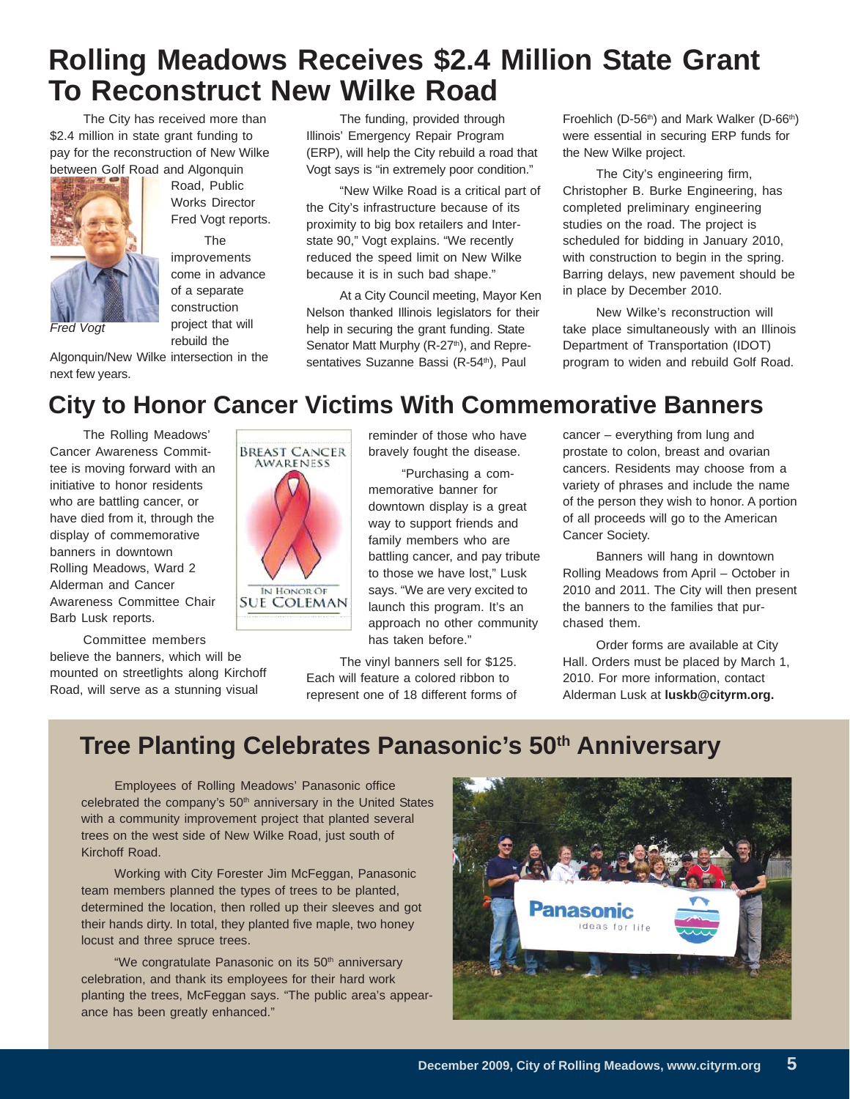# **Rolling Meadows Receives \$2.4 Million State Grant To Reconstruct New Wilke Road**

The City has received more than \$2.4 million in state grant funding to pay for the reconstruction of New Wilke between Golf Road and Algonquin



next few years.

Road, Public Works Director Fred Vogt reports.

The improvements come in advance of a separate construction project that will

rebuild the Algonquin/New Wilke intersection in the *Fred Vogt*

The funding, provided through Illinois' Emergency Repair Program (ERP), will help the City rebuild a road that Vogt says is "in extremely poor condition."

"New Wilke Road is a critical part of the City's infrastructure because of its proximity to big box retailers and Interstate 90," Vogt explains. "We recently reduced the speed limit on New Wilke because it is in such bad shape."

At a City Council meeting, Mayor Ken Nelson thanked Illinois legislators for their help in securing the grant funding. State Senator Matt Murphy (R-27<sup>th</sup>), and Representatives Suzanne Bassi (R-54<sup>th</sup>), Paul

Froehlich (D-56<sup>th</sup>) and Mark Walker (D-66<sup>th</sup>) were essential in securing ERP funds for the New Wilke project.

The City's engineering firm, Christopher B. Burke Engineering, has completed preliminary engineering studies on the road. The project is scheduled for bidding in January 2010, with construction to begin in the spring. Barring delays, new pavement should be in place by December 2010.

New Wilke's reconstruction will take place simultaneously with an Illinois Department of Transportation (IDOT) program to widen and rebuild Golf Road.

# **City to Honor Cancer Victims With Commemorative Banners**

The Rolling Meadows' Cancer Awareness Committee is moving forward with an initiative to honor residents who are battling cancer, or have died from it, through the display of commemorative banners in downtown Rolling Meadows, Ward 2 Alderman and Cancer Awareness Committee Chair Barb Lusk reports.

Committee members believe the banners, which will be mounted on streetlights along Kirchoff Road, will serve as a stunning visual



reminder of those who have bravely fought the disease.

"Purchasing a commemorative banner for downtown display is a great way to support friends and family members who are battling cancer, and pay tribute to those we have lost," Lusk says. "We are very excited to launch this program. It's an approach no other community has taken before."

The vinyl banners sell for \$125. Each will feature a colored ribbon to represent one of 18 different forms of cancer – everything from lung and prostate to colon, breast and ovarian cancers. Residents may choose from a variety of phrases and include the name of the person they wish to honor. A portion of all proceeds will go to the American Cancer Society.

Banners will hang in downtown Rolling Meadows from April – October in 2010 and 2011. The City will then present the banners to the families that purchased them.

Order forms are available at City Hall. Orders must be placed by March 1, 2010. For more information, contact Alderman Lusk at **luskb@cityrm.org.**

# **Tree Planting Celebrates Panasonic's 50<sup>th</sup> Anniversary**

Employees of Rolling Meadows' Panasonic office celebrated the company's 50<sup>th</sup> anniversary in the United States with a community improvement project that planted several trees on the west side of New Wilke Road, just south of Kirchoff Road.

Working with City Forester Jim McFeggan, Panasonic team members planned the types of trees to be planted, determined the location, then rolled up their sleeves and got their hands dirty. In total, they planted five maple, two honey locust and three spruce trees.

"We congratulate Panasonic on its 50<sup>th</sup> anniversary celebration, and thank its employees for their hard work planting the trees, McFeggan says. "The public area's appearance has been greatly enhanced."